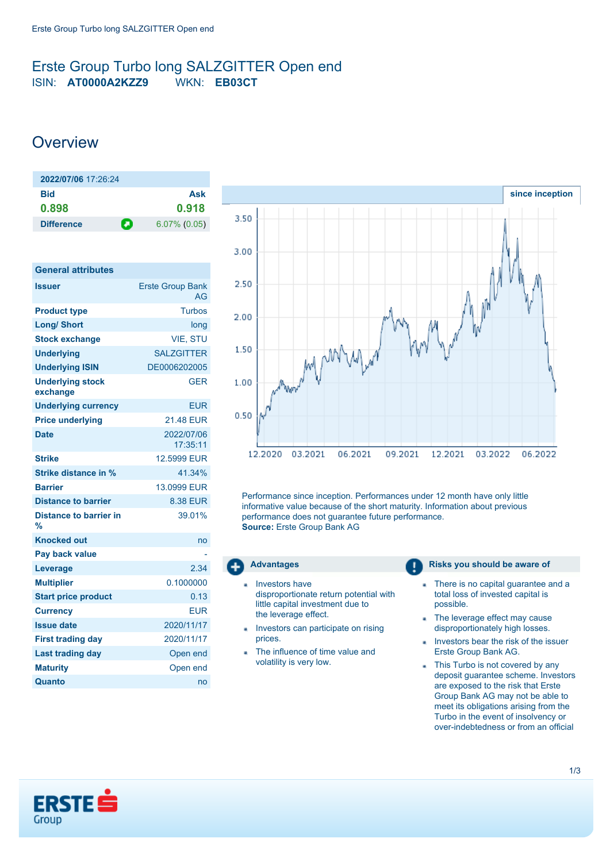## <span id="page-0-0"></span>Erste Group Turbo long SALZGITTER Open end ISIN: **AT0000A2KZZ9** WKN: **EB03CT**

# **Overview**

| 2022/07/06 17:26:24 |                      |
|---------------------|----------------------|
| Bid                 | Ask                  |
| 0.898               | 0.918                |
| <b>Difference</b>   | п<br>$6.07\%$ (0.05) |

| <b>General attributes</b>           |                               |
|-------------------------------------|-------------------------------|
| <b>Issuer</b>                       | <b>Erste Group Bank</b><br>AG |
| <b>Product type</b>                 | Turbos                        |
| <b>Long/ Short</b>                  | long                          |
| <b>Stock exchange</b>               | <b>VIE, STU</b>               |
| <b>Underlying</b>                   | <b>SALZGITTER</b>             |
| <b>Underlying ISIN</b>              | DE0006202005                  |
| <b>Underlying stock</b><br>exchange | <b>GER</b>                    |
| <b>Underlying currency</b>          | EUR                           |
| <b>Price underlying</b>             | <b>21.48 EUR</b>              |
| <b>Date</b>                         | 2022/07/06<br>17:35:11        |
| <b>Strike</b>                       | 12.5999 EUR                   |
| Strike distance in %                | 41.34%                        |
| <b>Barrier</b>                      | 13.0999 EUR                   |
| <b>Distance to barrier</b>          | 8.38 EUR                      |
| Distance to barrier in<br>%         | 39.01%                        |
| <b>Knocked out</b>                  | no                            |
| Pay back value                      |                               |
| Leverage                            | 2.34                          |
| <b>Multiplier</b>                   | 0.1000000                     |
| <b>Start price product</b>          | 0.13                          |
| <b>Currency</b>                     | FUR                           |
| <b>Issue date</b>                   | 2020/11/17                    |
| <b>First trading day</b>            | 2020/11/17                    |
| <b>Last trading day</b>             | Open end                      |
| <b>Maturity</b>                     | Open end                      |
| Quanto                              | no                            |



Performance since inception. Performances under 12 month have only little informative value because of the short maturity. Information about previous performance does not guarantee future performance. **Source:** Erste Group Bank AG



- Investors have disproportionate return potential with little capital investment due to the leverage effect.
- Investors can participate on rising prices.
- The influence of time value and volatility is very low.

#### **Advantages Risks** you should be aware of

- There is no capital guarantee and a × total loss of invested capital is possible.
- The leverage effect may cause disproportionately high losses.
- Investors bear the risk of the issuer Erste Group Bank AG.
- This Turbo is not covered by any deposit guarantee scheme. Investors are exposed to the risk that Erste Group Bank AG may not be able to meet its obligations arising from the Turbo in the event of insolvency or over-indebtedness or from an official

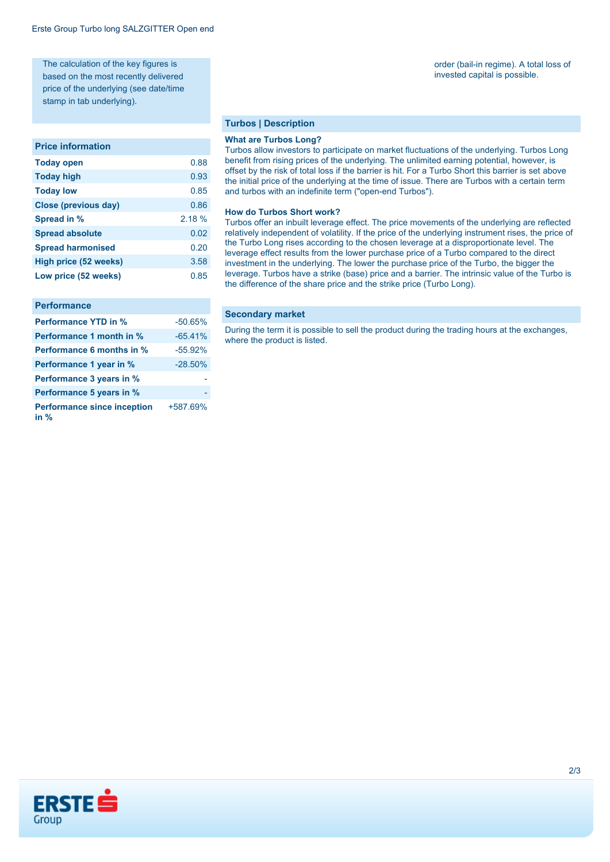The calculation of the key figures is based on the most recently delivered price of the underlying (see date/time stamp in tab underlying).

#### **Price information**

| <b>Today open</b>        | 0.88   |
|--------------------------|--------|
| <b>Today high</b>        | 0.93   |
| <b>Today low</b>         | 0.85   |
| Close (previous day)     | 0.86   |
| Spread in %              | 2.18 % |
| <b>Spread absolute</b>   | 0.02   |
| <b>Spread harmonised</b> | 0.20   |
| High price (52 weeks)    | 3.58   |
| Low price (52 weeks)     | 0.85   |

#### **Performance**

| <b>Performance YTD in %</b>                  | $-50.65%$ |
|----------------------------------------------|-----------|
| Performance 1 month in %                     | $-65.41%$ |
| Performance 6 months in %                    | $-55.92%$ |
| Performance 1 year in %                      | $-28.50%$ |
| Performance 3 years in %                     |           |
| Performance 5 years in %                     |           |
| <b>Performance since inception</b><br>in $%$ | +587.69%  |

#### **Turbos | Description**

#### **What are Turbos Long?**

Turbos allow investors to participate on market fluctuations of the underlying. Turbos Long benefit from rising prices of the underlying. The unlimited earning potential, however, is offset by the risk of total loss if the barrier is hit. For a Turbo Short this barrier is set above the initial price of the underlying at the time of issue. There are Turbos with a certain term and turbos with an indefinite term ("open-end Turbos").

#### **How do Turbos Short work?**

Turbos offer an inbuilt leverage effect. The price movements of the underlying are reflected relatively independent of volatility. If the price of the underlying instrument rises, the price of the Turbo Long rises according to the chosen leverage at a disproportionate level. The leverage effect results from the lower purchase price of a Turbo compared to the direct investment in the underlying. The lower the purchase price of the Turbo, the bigger the leverage. Turbos have a strike (base) price and a barrier. The intrinsic value of the Turbo is the difference of the share price and the strike price (Turbo Long).

#### **Secondary market**

During the term it is possible to sell the product during the trading hours at the exchanges, where the product is listed.

# order (bail-in regime). A total loss of

invested capital is possible.